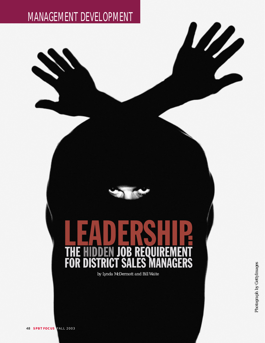# MANAGEMENT DEVELOPMENT

## R R 51 R 9M 5 GERS F<sub>0</sub> R D Λ

*by Lynda McDermott and Bill Waite*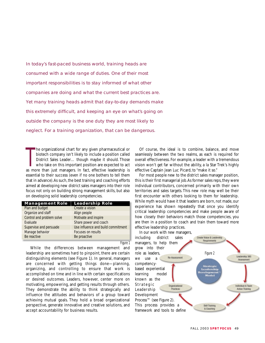In today's fast-paced business world, training heads are consumed with a wide range of duties. One of their most important responsibilities is to stay informed of what other companies are doing and what the current best practices are. Yet many training heads admit that day-to-day demands make this extremely difficult, and keeping an eye on what's going on outside the company is the one duty they are most likely to neglect. For a training organization, that can be dangerous.

T he organizational chart for any given pharmaceutical or biotech company isn't likely to include a position called District Sales Leader… though maybe it should. Those who take on this important position are expected to act as more than just managers. In fact, effective leadership is essential to their success (even if no one bothers to tell them that in advance).As such, the best training and coaching efforts aimed at developing new district sales managers into their role focus not only on building strong management skills, but also on developing solid leadership competencies.

| <b>Management Role</b>    | <b>Leadership Role</b>             |
|---------------------------|------------------------------------|
| Plan and budget           | Create a vision                    |
| Organize and staff        | Align people                       |
| Control and problem solve | Motivate and inspire               |
| Evaluate                  | Share power and coach              |
| Supervise and persuade    | Use influence and build commitment |
| Manage behavior           | Focuses on results                 |
| Be reactive               | Be proactive                       |

Figure 1

While the differences between management and leadership are sometimes hard to pinpoint, there are certain distinguishing elements (see Figure 1). In general, managers are concerned with getting things done—planning, organizing, and controlling to ensure that work is accomplished on time and in line with certain specifications or desired outcomes. Leaders, however, center more on motivating, empowering, and getting results through others. They demonstrate the ability to think strategically and influence the attitudes and behaviors of a group toward achieving mutual goals. They hold a broad organizational perspective, generate innovative and creative solutions, and accept accountability for business results.

Of course, the ideal is to combine, balance, and move seamlessly between the two realms, as each is required for overall effectiveness. For example, a leader with a tremendous vision won't get far without the ability, a la Star Trek's highly effective Captain Jean Luc Picard, to "make it so."

For most people new to the district sales manager position, this is their first managerial job.As former sales reps,they were individual contributors, concerned primarily with their own territories and sales targets. This new role may well be their first encounter with others looking to them for leadership. While myth would have it that leaders are born, not made, our experience has shown repeatedly that once you identify critical leadership competencies and make people aware of how closely their behaviors match those competencies, you are then in a position to coach and train them toward more effective leadership practices.

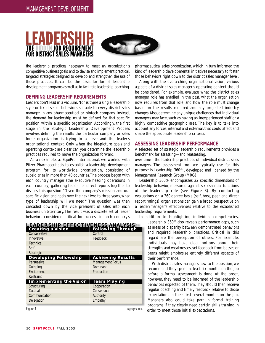



the leadership practices necessary to meet an organization's competitive business goals;and to devise and implement practical, targeted strategies designed to develop and strengthen the use of those practices. It can be the basis for formal leadership development programs as well as to facilitate leadership coaching.

## **DEFINING LEADERSHIP REQUIREMENTS**

Leaders don't lead in a vacuum.Nor is there a single leadership style or fixed set of behaviors suitable to every district sales manager in any pharmaceutical or biotech company. Instead, the demand for leadership must be defined for that specific position within a specific organization. Accordingly, the first stage in the Strategic Leadership Development Process involves defining the results the particular company or sales force organization is trying to achieve and the leader's organizational context. Only when the big-picture goals and operating context are clear can you determine the leadership practices required to move the organization forward.

As an example, at EquiPro International, we worked with Pfizer Pharmaceuticals to establish a leadership development program for its worldwide organization, consisting of subsidiaries in more than 40 countries.The process began with each country manager (the executive heading operations in each country) gathering his or her direct reports together to discuss this question: "Given the company's mission and our specific vision and goals over the next two to three years, what type of leadership will we need?" The question was then cascaded down by the vice president of sales into each business unit/territory.The result was a discrete set of leader behaviors considered critical for success in each country's

| n wild distillated a visit with the property of the property of the control of the control of the property of<br>Creating a Vision [ Following Through<br><b>Creating a Vision</b> |                          |
|------------------------------------------------------------------------------------------------------------------------------------------------------------------------------------|--------------------------|
| Conservative                                                                                                                                                                       | Control                  |
| Innovative                                                                                                                                                                         | Feedback                 |
| Technical                                                                                                                                                                          |                          |
| Self                                                                                                                                                                               |                          |
| <b>Strategic</b>                                                                                                                                                                   |                          |
| <b>Developing Fellowship</b>                                                                                                                                                       | <b>Achieving Results</b> |
| Persuasive                                                                                                                                                                         | <b>Management Focus</b>  |
| Outgoing                                                                                                                                                                           | Dominant                 |
| Excitement                                                                                                                                                                         | Production               |
| Restraint                                                                                                                                                                          |                          |
| <b>Implementing the Vision</b>                                                                                                                                                     | <b>Team Playing</b>      |
| Structuring                                                                                                                                                                        | Cooperation              |
| <b>Tactical</b>                                                                                                                                                                    | Consensual               |
| Communication                                                                                                                                                                      | Authority                |
| Delegation                                                                                                                                                                         | Empathy                  |

**LEADERSHIP EFFECTIVENESS ANALYSIS**TM

Figure 3 Copyright © MRG

pharmaceutical sales organization, which in turn informed the kind of leadership developmental initiatives necessary to foster those behaviors right down to the district sales manager level.

Along with the overarching organizational vision, various aspects of a district sales manager's operating context should be considered. For example, evaluate what the district sales manager role has entailed in the past, what the organization now requires from that role, and how the role must change based on the results required and any projected industry changes.Also, determine any unique challenges that individual managers may face, such as having an inexperienced staff or a highly competitive geographic area. The key is to take into account any forces, internal and external, that could affect and shape the appropriate leadership criteria.

### **ASSESSING LEADERSHIP PERFORMANCE**

A selected set of strategic leadership requirements provides a benchmark for assessing—and reassessing,

over time—the leadership practices of individual district sales managers. The assessment tool we typically use for this purpose is Leadership 360® , developed and licensed by the Management Research Group (MRG).

Leadership 360® encompasses 22 specific dimensions of leadership behavior, measured against six essential functions of the leadership role (see Figure 3). By conducting evaluations on a 360-degree basis (self, boss, peer, and direct report ratings), organizations can gain a broad perspective on a leader/manager's effectiveness relative to the established leadership requirements.

In addition to highlighting individual competencies, Leadership 360® also reveals performance gaps, such as areas of disparity between demonstrated behaviors and required leadership practices. Critical in this regard are the perception of others. For example, individuals may have clear notions about their strengths and weaknesses, yet feedback from bosses or peers might emphasize entirely different aspects of their performance.

With district sales managers new to the position, we recommend they spend at least six months on the job before a formal assessment is done. At the onset, however, they need to be informed of the leadership behaviors expected of them.They should then receive regular coaching and timely feedback relative to those expectations in their first several months on the job. Managers also could take part in formal training programs if they clearly need certain skills training in order to meet those initial expectations.